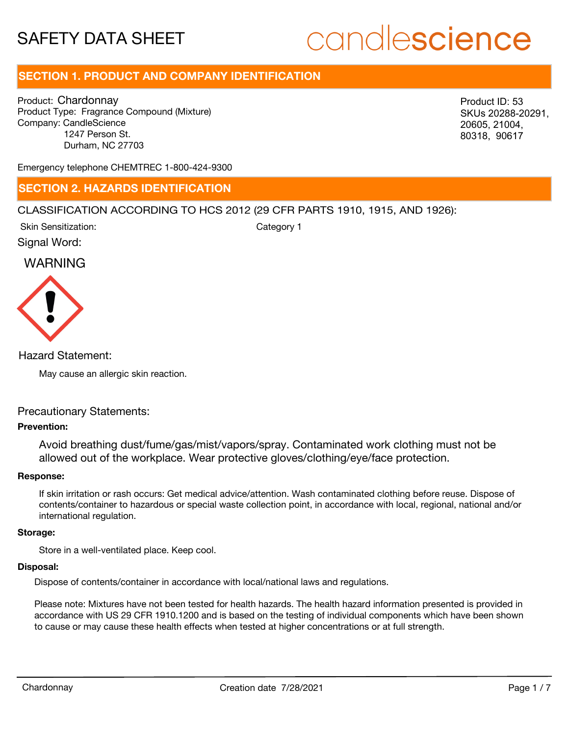# candlescience

# **SECTION 1. PRODUCT AND COMPANY IDENTIFICATION**

Product: Chardonnay Product Type: Fragrance Compound (Mixture) Company: CandleScience 1247 Person St. Durham, NC 27703

SKUs 20288-20291, 20605, 21004, 80318, 90617

Emergency telephone CHEMTREC 1-800-424-9300

### **SECTION 2. HAZARDS IDENTIFICATION**

#### CLASSIFICATION ACCORDING TO HCS 2012 (29 CFR PARTS 1910, 1915, AND 1926):

Skin Sensitization:

Category 1

Signal Word:

# WARNING



Hazard Statement:

May cause an allergic skin reaction.

#### Precautionary Statements:

#### **Prevention:**

Avoid breathing dust/fume/gas/mist/vapors/spray. Contaminated work clothing must not be allowed out of the workplace. Wear protective gloves/clothing/eye/face protection.

#### **Response:**

If skin irritation or rash occurs: Get medical advice/attention. Wash contaminated clothing before reuse. Dispose of contents/container to hazardous or special waste collection point, in accordance with local, regional, national and/or international regulation. Chardonnay Characteristics of the work of the Characteristics of the Characteristics of the Characteristics of the Characteristics of the Characteristics of the Characteristics of the Characteristics of the Characteristics

#### **Storage:**

Store in a well-ventilated place. Keep cool.

#### **Disposal:**

Dispose of contents/container in accordance with local/national laws and regulations.

Please note: Mixtures have not been tested for health hazards. The health hazard information presented is provided in accordance with US 29 CFR 1910.1200 and is based on the testing of individual components which have been shown to cause or may cause these health effects when tested at higher concentrations or at full strength.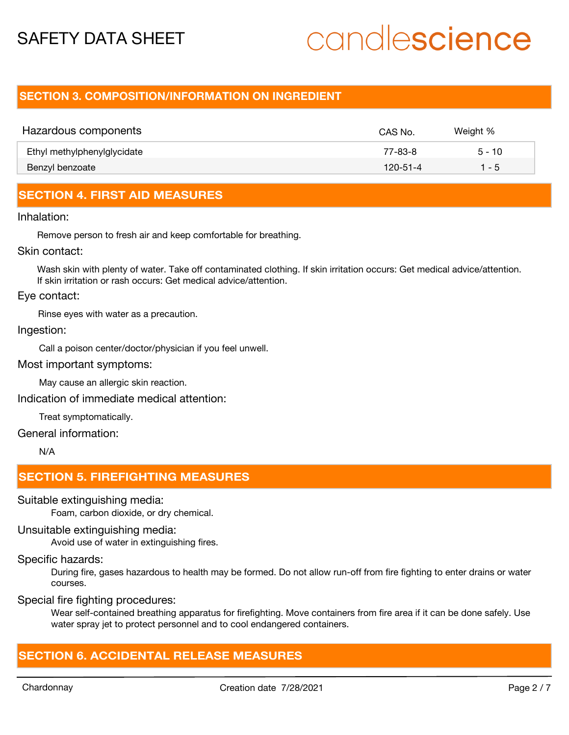# candlescience

## **SECTION 3. COMPOSITION/INFORMATION ON INGREDIENT**

| Hazardous components        | CAS No.        | Weight % |
|-----------------------------|----------------|----------|
| Ethyl methylphenylglycidate | 77-83-8        | $5 - 10$ |
| Benzyl benzoate             | $120 - 51 - 4$ | 1 - 5    |

# **SECTION 4. FIRST AID MEASURES**

#### Inhalation:

Remove person to fresh air and keep comfortable for breathing.

#### Skin contact:

Wash skin with plenty of water. Take off contaminated clothing. If skin irritation occurs: Get medical advice/attention. If skin irritation or rash occurs: Get medical advice/attention.

#### Eye contact:

Rinse eyes with water as a precaution.

#### Ingestion:

Call a poison center/doctor/physician if you feel unwell.

#### Most important symptoms:

May cause an allergic skin reaction.

Indication of immediate medical attention:

Treat symptomatically.

#### General information:

N/A

### **SECTION 5. FIREFIGHTING MEASURES**

#### Suitable extinguishing media:

Foam, carbon dioxide, or dry chemical.

#### Unsuitable extinguishing media:

Avoid use of water in extinguishing fires.

#### Specific hazards:

During fire, gases hazardous to health may be formed. Do not allow run-off from fire fighting to enter drains or water courses.

#### Special fire fighting procedures:

Wear self-contained breathing apparatus for firefighting. Move containers from fire area if it can be done safely. Use water spray jet to protect personnel and to cool endangered containers.

## **SECTION 6. ACCIDENTAL RELEASE MEASURES**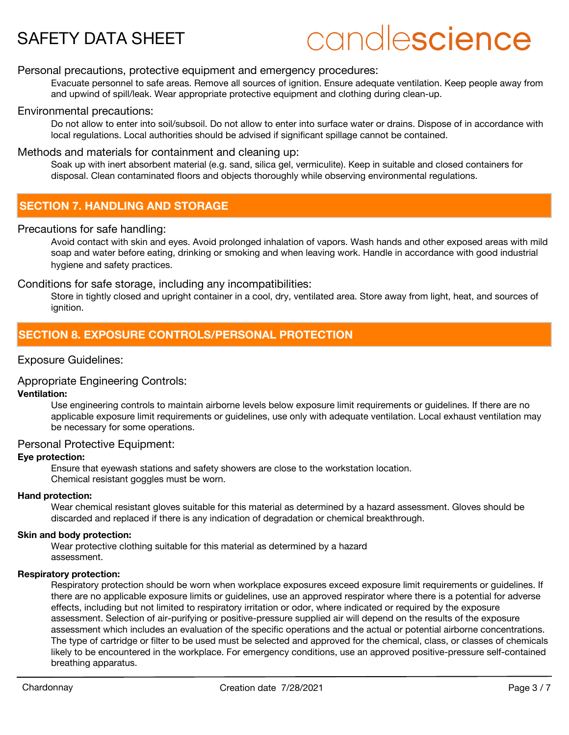# candlescience

#### Personal precautions, protective equipment and emergency procedures:

Evacuate personnel to safe areas. Remove all sources of ignition. Ensure adequate ventilation. Keep people away from and upwind of spill/leak. Wear appropriate protective equipment and clothing during clean-up.

#### Environmental precautions:

Do not allow to enter into soil/subsoil. Do not allow to enter into surface water or drains. Dispose of in accordance with local regulations. Local authorities should be advised if significant spillage cannot be contained.

#### Methods and materials for containment and cleaning up:

Soak up with inert absorbent material (e.g. sand, silica gel, vermiculite). Keep in suitable and closed containers for disposal. Clean contaminated floors and objects thoroughly while observing environmental regulations.

## **SECTION 7. HANDLING AND STORAGE**

#### Precautions for safe handling:

Avoid contact with skin and eyes. Avoid prolonged inhalation of vapors. Wash hands and other exposed areas with mild soap and water before eating, drinking or smoking and when leaving work. Handle in accordance with good industrial hygiene and safety practices.

#### Conditions for safe storage, including any incompatibilities:

Store in tightly closed and upright container in a cool, dry, ventilated area. Store away from light, heat, and sources of ignition.

### **SECTION 8. EXPOSURE CONTROLS/PERSONAL PROTECTION**

#### Exposure Guidelines:

### Appropriate Engineering Controls:

#### **Ventilation:**

Use engineering controls to maintain airborne levels below exposure limit requirements or guidelines. If there are no applicable exposure limit requirements or guidelines, use only with adequate ventilation. Local exhaust ventilation may be necessary for some operations.

#### Personal Protective Equipment:

#### **Eye protection:**

Ensure that eyewash stations and safety showers are close to the workstation location. Chemical resistant goggles must be worn.

#### **Hand protection:**

Wear chemical resistant gloves suitable for this material as determined by a hazard assessment. Gloves should be discarded and replaced if there is any indication of degradation or chemical breakthrough.

#### **Skin and body protection:**

Wear protective clothing suitable for this material as determined by a hazard assessment.

#### **Respiratory protection:**

Respiratory protection should be worn when workplace exposures exceed exposure limit requirements or guidelines. If there are no applicable exposure limits or guidelines, use an approved respirator where there is a potential for adverse effects, including but not limited to respiratory irritation or odor, where indicated or required by the exposure assessment. Selection of air-purifying or positive-pressure supplied air will depend on the results of the exposure assessment which includes an evaluation of the specific operations and the actual or potential airborne concentrations. The type of cartridge or filter to be used must be selected and approved for the chemical, class, or classes of chemicals likely to be encountered in the workplace. For emergency conditions, use an approved positive-pressure self-contained breathing apparatus.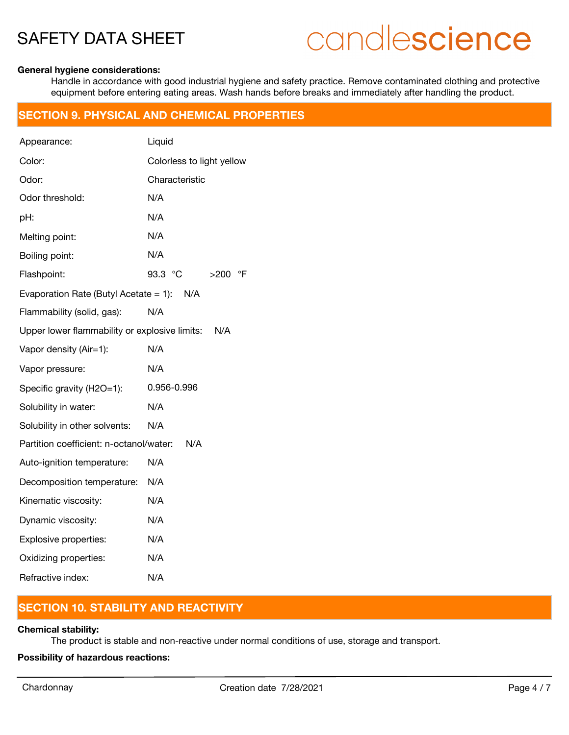# candlescience

#### **General hygiene considerations:**

Handle in accordance with good industrial hygiene and safety practice. Remove contaminated clothing and protective equipment before entering eating areas. Wash hands before breaks and immediately after handling the product.

### **SECTION 9. PHYSICAL AND CHEMICAL PROPERTIES**

| Appearance:                                     | Liquid                    |  |  |
|-------------------------------------------------|---------------------------|--|--|
| Color:                                          | Colorless to light yellow |  |  |
| Odor:                                           | Characteristic            |  |  |
| Odor threshold:                                 | N/A                       |  |  |
| pH:                                             | N/A                       |  |  |
| Melting point:                                  | N/A                       |  |  |
| Boiling point:                                  | N/A                       |  |  |
| Flashpoint:                                     | 93.3 °C<br>>200<br>°F     |  |  |
| Evaporation Rate (Butyl Acetate = $1$ ):<br>N/A |                           |  |  |
| Flammability (solid, gas):                      | N/A                       |  |  |
| Upper lower flammability or explosive limits:   | N/A                       |  |  |
| Vapor density (Air=1):                          | N/A                       |  |  |
| Vapor pressure:                                 | N/A                       |  |  |
| Specific gravity (H2O=1):                       | 0.956-0.996               |  |  |
| Solubility in water:                            | N/A                       |  |  |
| Solubility in other solvents:                   | N/A                       |  |  |
| Partition coefficient: n-octanol/water:         | N/A                       |  |  |
| Auto-ignition temperature:                      | N/A                       |  |  |
| Decomposition temperature:                      | N/A                       |  |  |
| Kinematic viscosity:                            | N/A                       |  |  |
| Dynamic viscosity:                              | N/A                       |  |  |
| Explosive properties:                           | N/A                       |  |  |
| Oxidizing properties:                           | N/A                       |  |  |
| Refractive index:                               | N/A                       |  |  |

## **SECTION 10. STABILITY AND REACTIVITY**

#### **Chemical stability:**

The product is stable and non-reactive under normal conditions of use, storage and transport.

**Possibility of hazardous reactions:**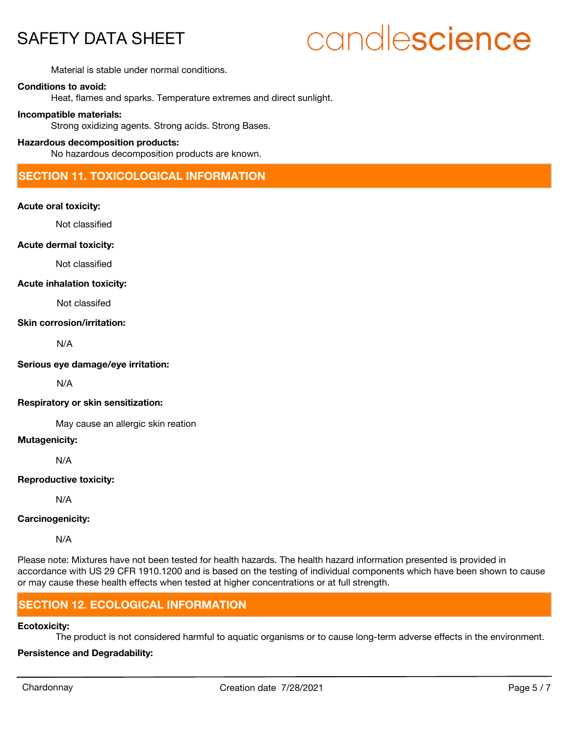# candlescience

Material is stable under normal conditions.

#### **Conditions to avoid:**

Heat, flames and sparks. Temperature extremes and direct sunlight.

#### **Incompatible materials:**

Strong oxidizing agents. Strong acids. Strong Bases.

#### **Hazardous decomposition products:**

No hazardous decomposition products are known.

### **SECTION 11. TOXICOLOGICAL INFORMATION**

#### **Acute oral toxicity:**

Not classified

#### **Acute dermal toxicity:**

Not classified

#### **Acute inhalation toxicity:**

Not classifed

#### **Skin corrosion/irritation:**

N/A

#### **Serious eye damage/eye irritation:**

N/A

#### **Respiratory or skin sensitization:**

May cause an allergic skin reation

#### **Mutagenicity:**

N/A

#### **Reproductive toxicity:**

N/A

#### **Carcinogenicity:**

N/A

Please note: Mixtures have not been tested for health hazards. The health hazard information presented is provided in accordance with US 29 CFR 1910.1200 and is based on the testing of individual components which have been shown to cause or may cause these health effects when tested at higher concentrations or at full strength.

## **SECTION 12. ECOLOGICAL INFORMATION**

#### **Ecotoxicity:**

The product is not considered harmful to aquatic organisms or to cause long-term adverse effects in the environment.

### **Persistence and Degradability:**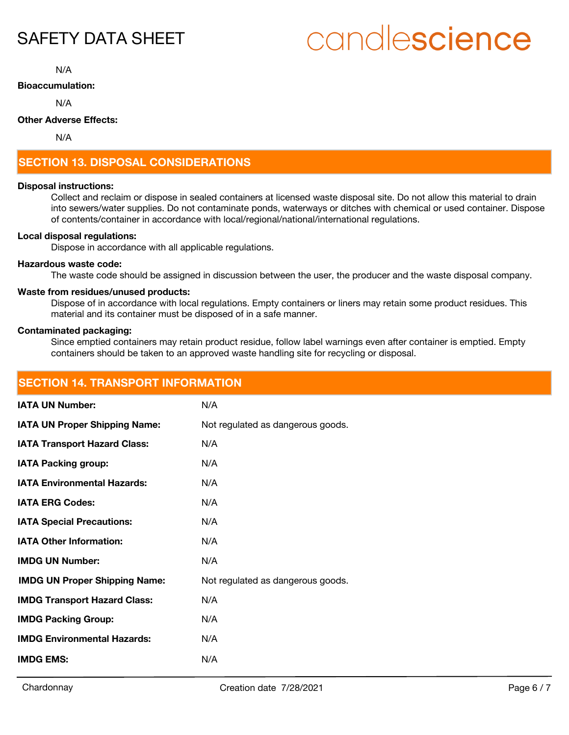# candlescience

N/A

#### **Bioaccumulation:**

N/A

#### **Other Adverse Effects:**

N/A

# **SECTION 13. DISPOSAL CONSIDERATIONS**

#### **Disposal instructions:**

Collect and reclaim or dispose in sealed containers at licensed waste disposal site. Do not allow this material to drain into sewers/water supplies. Do not contaminate ponds, waterways or ditches with chemical or used container. Dispose of contents/container in accordance with local/regional/national/international regulations.

#### **Local disposal regulations:**

Dispose in accordance with all applicable regulations.

#### **Hazardous waste code:**

The waste code should be assigned in discussion between the user, the producer and the waste disposal company.

#### **Waste from residues/unused products:**

Dispose of in accordance with local regulations. Empty containers or liners may retain some product residues. This material and its container must be disposed of in a safe manner.

#### **Contaminated packaging:**

Since emptied containers may retain product residue, follow label warnings even after container is emptied. Empty containers should be taken to an approved waste handling site for recycling or disposal.

| <b>SECTION 14. TRANSPORT INFORMATION</b> |                                   |  |
|------------------------------------------|-----------------------------------|--|
| <b>IATA UN Number:</b>                   | N/A                               |  |
| <b>IATA UN Proper Shipping Name:</b>     | Not regulated as dangerous goods. |  |
| <b>IATA Transport Hazard Class:</b>      | N/A                               |  |
| <b>IATA Packing group:</b>               | N/A                               |  |
| <b>IATA Environmental Hazards:</b>       | N/A                               |  |
| <b>IATA ERG Codes:</b>                   | N/A                               |  |
| <b>IATA Special Precautions:</b>         | N/A                               |  |
| <b>IATA Other Information:</b>           | N/A                               |  |
| <b>IMDG UN Number:</b>                   | N/A                               |  |
| <b>IMDG UN Proper Shipping Name:</b>     | Not regulated as dangerous goods. |  |
| <b>IMDG Transport Hazard Class:</b>      | N/A                               |  |
| <b>IMDG Packing Group:</b>               | N/A                               |  |
| <b>IMDG Environmental Hazards:</b>       | N/A                               |  |
| <b>IMDG EMS:</b>                         | N/A                               |  |